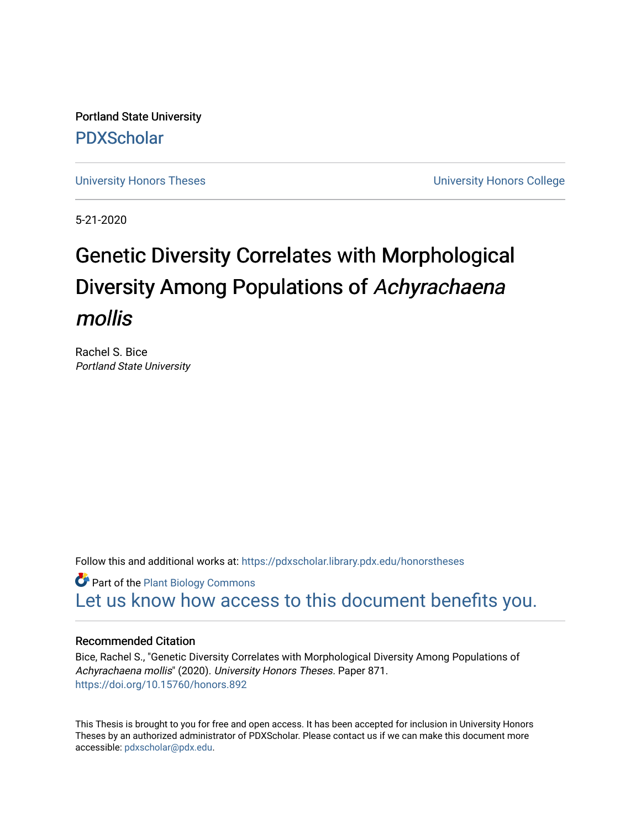Portland State University [PDXScholar](https://pdxscholar.library.pdx.edu/)

[University Honors Theses](https://pdxscholar.library.pdx.edu/honorstheses) **University Honors College** 

5-21-2020

# Genetic Diversity Correlates with Morphological Diversity Among Populations of Achyrachaena mollis

Rachel S. Bice Portland State University

Follow this and additional works at: [https://pdxscholar.library.pdx.edu/honorstheses](https://pdxscholar.library.pdx.edu/honorstheses?utm_source=pdxscholar.library.pdx.edu%2Fhonorstheses%2F871&utm_medium=PDF&utm_campaign=PDFCoverPages) 

**Part of the Plant Biology Commons** [Let us know how access to this document benefits you.](http://library.pdx.edu/services/pdxscholar-services/pdxscholar-feedback/) 

#### Recommended Citation

Bice, Rachel S., "Genetic Diversity Correlates with Morphological Diversity Among Populations of Achyrachaena mollis" (2020). University Honors Theses. Paper 871. <https://doi.org/10.15760/honors.892>

This Thesis is brought to you for free and open access. It has been accepted for inclusion in University Honors Theses by an authorized administrator of PDXScholar. Please contact us if we can make this document more accessible: [pdxscholar@pdx.edu.](mailto:pdxscholar@pdx.edu)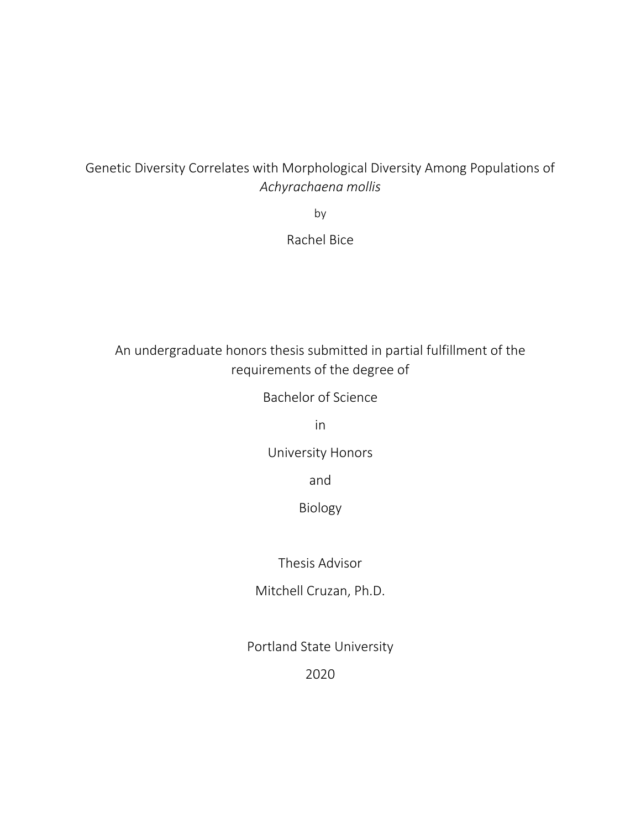# Genetic Diversity Correlates with Morphological Diversity Among Populations of *Achyrachaena mollis*

by

Rachel Bice

# An undergraduate honors thesis submitted in partial fulfillment of the requirements of the degree of

Bachelor of Science

in

University Honors

and

Biology

Thesis Advisor

Mitchell Cruzan, Ph.D.

Portland State University

2020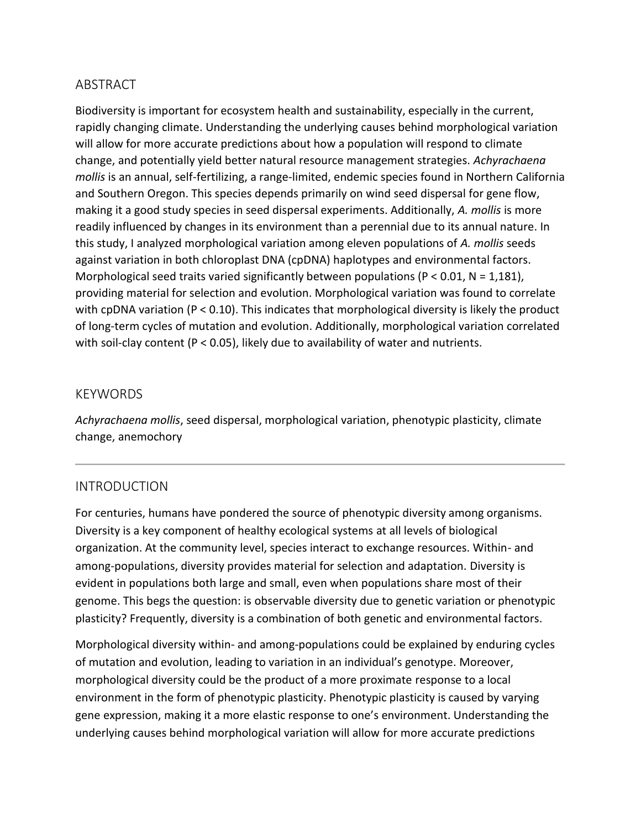# ABSTRACT

Biodiversity is important for ecosystem health and sustainability, especially in the current, rapidly changing climate. Understanding the underlying causes behind morphological variation will allow for more accurate predictions about how a population will respond to climate change, and potentially yield better natural resource management strategies. *Achyrachaena mollis* is an annual, self-fertilizing, a range-limited, endemic species found in Northern California and Southern Oregon. This species depends primarily on wind seed dispersal for gene flow, making it a good study species in seed dispersal experiments. Additionally, *A. mollis* is more readily influenced by changes in its environment than a perennial due to its annual nature. In this study, I analyzed morphological variation among eleven populations of *A. mollis* seeds against variation in both chloroplast DNA (cpDNA) haplotypes and environmental factors. Morphological seed traits varied significantly between populations ( $P < 0.01$ ,  $N = 1,181$ ), providing material for selection and evolution. Morphological variation was found to correlate with cpDNA variation ( $P < 0.10$ ). This indicates that morphological diversity is likely the product of long-term cycles of mutation and evolution. Additionally, morphological variation correlated with soil-clay content ( $P < 0.05$ ), likely due to availability of water and nutrients.

#### KEYWORDS

*Achyrachaena mollis*, seed dispersal, morphological variation, phenotypic plasticity, climate change, anemochory

#### INTRODUCTION

For centuries, humans have pondered the source of phenotypic diversity among organisms. Diversity is a key component of healthy ecological systems at all levels of biological organization. At the community level, species interact to exchange resources. Within- and among-populations, diversity provides material for selection and adaptation. Diversity is evident in populations both large and small, even when populations share most of their genome. This begs the question: is observable diversity due to genetic variation or phenotypic plasticity? Frequently, diversity is a combination of both genetic and environmental factors.

Morphological diversity within- and among-populations could be explained by enduring cycles of mutation and evolution, leading to variation in an individual's genotype. Moreover, morphological diversity could be the product of a more proximate response to a local environment in the form of phenotypic plasticity. Phenotypic plasticity is caused by varying gene expression, making it a more elastic response to one's environment. Understanding the underlying causes behind morphological variation will allow for more accurate predictions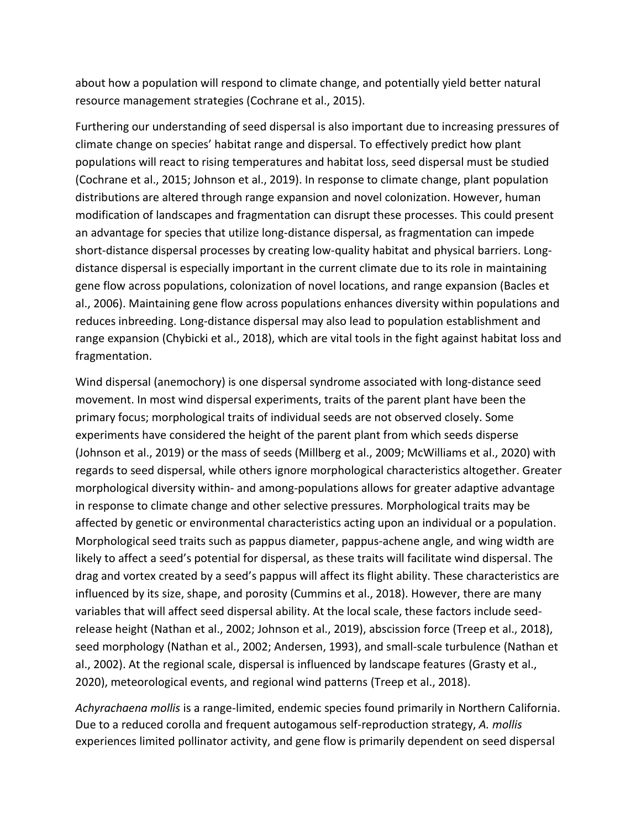about how a population will respond to climate change, and potentially yield better natural resource management strategies (Cochrane et al., 2015).

Furthering our understanding of seed dispersal is also important due to increasing pressures of climate change on species' habitat range and dispersal. To effectively predict how plant populations will react to rising temperatures and habitat loss, seed dispersal must be studied (Cochrane et al., 2015; Johnson et al., 2019). In response to climate change, plant population distributions are altered through range expansion and novel colonization. However, human modification of landscapes and fragmentation can disrupt these processes. This could present an advantage for species that utilize long-distance dispersal, as fragmentation can impede short-distance dispersal processes by creating low-quality habitat and physical barriers. Longdistance dispersal is especially important in the current climate due to its role in maintaining gene flow across populations, colonization of novel locations, and range expansion (Bacles et al., 2006). Maintaining gene flow across populations enhances diversity within populations and reduces inbreeding. Long-distance dispersal may also lead to population establishment and range expansion (Chybicki et al., 2018), which are vital tools in the fight against habitat loss and fragmentation.

Wind dispersal (anemochory) is one dispersal syndrome associated with long-distance seed movement. In most wind dispersal experiments, traits of the parent plant have been the primary focus; morphological traits of individual seeds are not observed closely. Some experiments have considered the height of the parent plant from which seeds disperse (Johnson et al., 2019) or the mass of seeds (Millberg et al., 2009; McWilliams et al., 2020) with regards to seed dispersal, while others ignore morphological characteristics altogether. Greater morphological diversity within- and among-populations allows for greater adaptive advantage in response to climate change and other selective pressures. Morphological traits may be affected by genetic or environmental characteristics acting upon an individual or a population. Morphological seed traits such as pappus diameter, pappus-achene angle, and wing width are likely to affect a seed's potential for dispersal, as these traits will facilitate wind dispersal. The drag and vortex created by a seed's pappus will affect its flight ability. These characteristics are influenced by its size, shape, and porosity (Cummins et al., 2018). However, there are many variables that will affect seed dispersal ability. At the local scale, these factors include seedrelease height (Nathan et al., 2002; Johnson et al., 2019), abscission force (Treep et al., 2018), seed morphology (Nathan et al., 2002; Andersen, 1993), and small-scale turbulence (Nathan et al., 2002). At the regional scale, dispersal is influenced by landscape features (Grasty et al., 2020), meteorological events, and regional wind patterns (Treep et al., 2018).

*Achyrachaena mollis* is a range-limited, endemic species found primarily in Northern California. Due to a reduced corolla and frequent autogamous self-reproduction strategy, *A. mollis*  experiences limited pollinator activity, and gene flow is primarily dependent on seed dispersal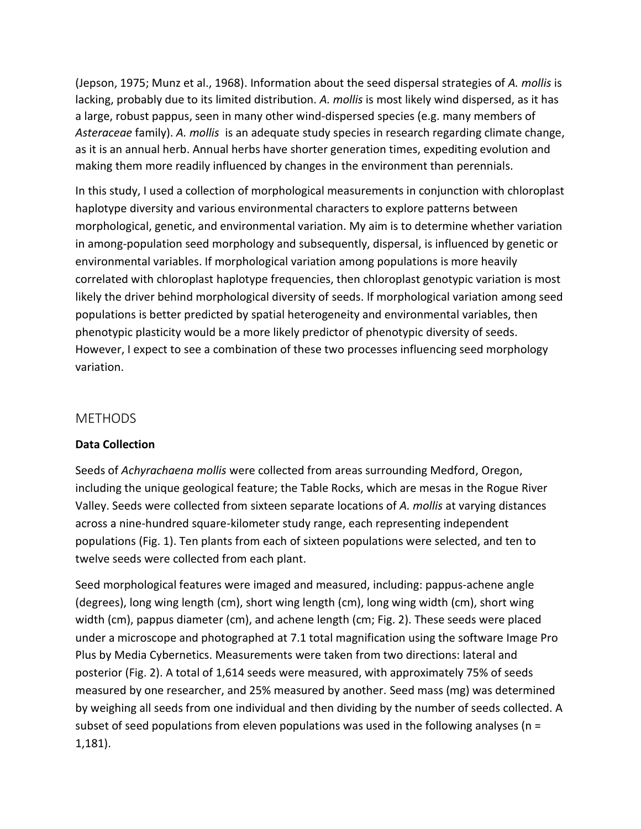(Jepson, 1975; Munz et al., 1968). Information about the seed dispersal strategies of *A. mollis* is lacking, probably due to its limited distribution. *A. mollis* is most likely wind dispersed, as it has a large, robust pappus, seen in many other wind-dispersed species (e.g. many members of *Asteraceae* family). *A. mollis* is an adequate study species in research regarding climate change, as it is an annual herb. Annual herbs have shorter generation times, expediting evolution and making them more readily influenced by changes in the environment than perennials.

In this study, I used a collection of morphological measurements in conjunction with chloroplast haplotype diversity and various environmental characters to explore patterns between morphological, genetic, and environmental variation. My aim is to determine whether variation in among-population seed morphology and subsequently, dispersal, is influenced by genetic or environmental variables. If morphological variation among populations is more heavily correlated with chloroplast haplotype frequencies, then chloroplast genotypic variation is most likely the driver behind morphological diversity of seeds. If morphological variation among seed populations is better predicted by spatial heterogeneity and environmental variables, then phenotypic plasticity would be a more likely predictor of phenotypic diversity of seeds. However, I expect to see a combination of these two processes influencing seed morphology variation.

#### METHODS

#### **Data Collection**

Seeds of *Achyrachaena mollis* were collected from areas surrounding Medford, Oregon, including the unique geological feature; the Table Rocks, which are mesas in the Rogue River Valley. Seeds were collected from sixteen separate locations of *A. mollis* at varying distances across a nine-hundred square-kilometer study range, each representing independent populations (Fig. 1). Ten plants from each of sixteen populations were selected, and ten to twelve seeds were collected from each plant.

Seed morphological features were imaged and measured, including: pappus-achene angle (degrees), long wing length (cm), short wing length (cm), long wing width (cm), short wing width (cm), pappus diameter (cm), and achene length (cm; Fig. 2). These seeds were placed under a microscope and photographed at 7.1 total magnification using the software [Image Pro](http://www.mediacy.com/imageproplus)  [Plus](http://www.mediacy.com/imageproplus) by Media Cybernetics. Measurements were taken from two directions: lateral and posterior (Fig. 2). A total of 1,614 seeds were measured, with approximately 75% of seeds measured by one researcher, and 25% measured by another. Seed mass (mg) was determined by weighing all seeds from one individual and then dividing by the number of seeds collected. A subset of seed populations from eleven populations was used in the following analyses ( $n =$ 1,181).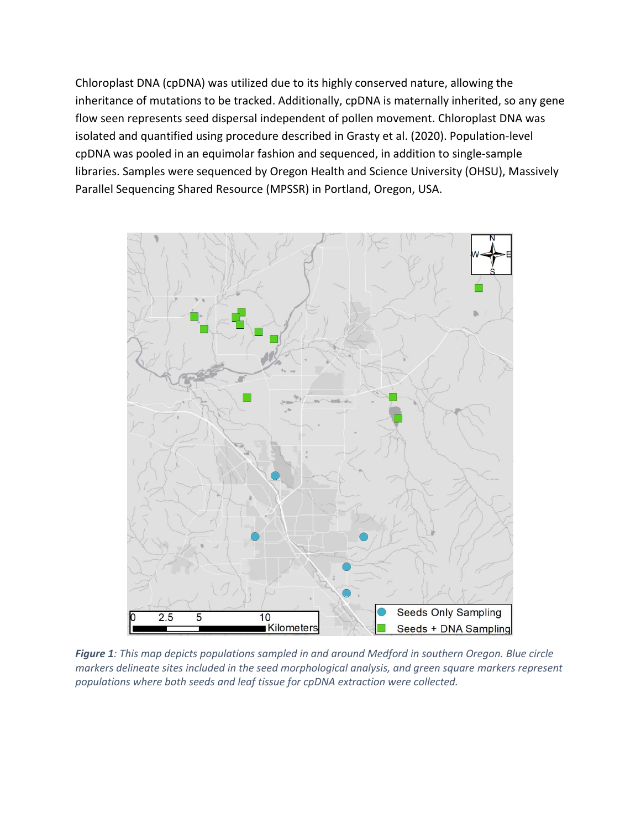Chloroplast DNA (cpDNA) was utilized due to its highly conserved nature, allowing the inheritance of mutations to be tracked. Additionally, cpDNA is maternally inherited, so any gene flow seen represents seed dispersal independent of pollen movement. Chloroplast DNA was isolated and quantified using procedure described in Grasty et al. (2020). Population-level cpDNA was pooled in an equimolar fashion and sequenced, in addition to single-sample libraries. Samples were sequenced by Oregon Health and Science University (OHSU), Massively Parallel Sequencing Shared Resource (MPSSR) in Portland, Oregon, USA.



*Figure 1: This map depicts populations sampled in and around Medford in southern Oregon. Blue circle markers delineate sites included in the seed morphological analysis, and green square markers represent populations where both seeds and leaf tissue for cpDNA extraction were collected.*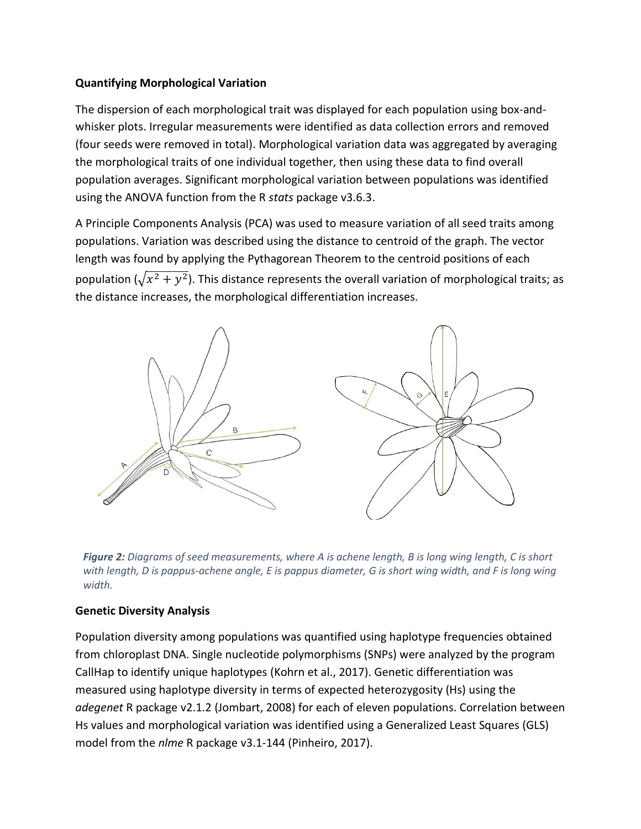#### **Quantifying Morphological Variation**

The dispersion of each morphological trait was displayed for each population using box-andwhisker plots. Irregular measurements were identified as data collection errors and removed (four seeds were removed in total). Morphological variation data was aggregated by averaging the morphological traits of one individual together, then using these data to find overall population averages. Significant morphological variation between populations was identified using the ANOVA function from the R *stats* package v3.6.3.

A Principle Components Analysis (PCA) was used to measure variation of all seed traits among populations. Variation was described using the distance to centroid of the graph. The vector length was found by applying the Pythagorean Theorem to the centroid positions of each population ( $\sqrt{x^2 + y^2}$ ). This distance represents the overall variation of morphological traits; as the distance increases, the morphological differentiation increases.



*Figure 2: Diagrams of seed measurements, where A is achene length, B is long wing length, C is short with length, D is pappus-achene angle, E is pappus diameter, G is short wing width, and F is long wing width.*

#### **Genetic Diversity Analysis**

Population diversity among populations was quantified using haplotype frequencies obtained from chloroplast DNA. Single nucleotide polymorphisms (SNPs) were analyzed by the program CallHap to identify unique haplotypes (Kohrn et al., 2017). Genetic differentiation was measured using haplotype diversity in terms of expected heterozygosity (Hs) using the *adegenet* R package v2.1.2 (Jombart, 2008) for each of eleven populations. Correlation between Hs values and morphological variation was identified using a Generalized Least Squares (GLS) model from the *nlme* R package v3.1-144 (Pinheiro, 2017).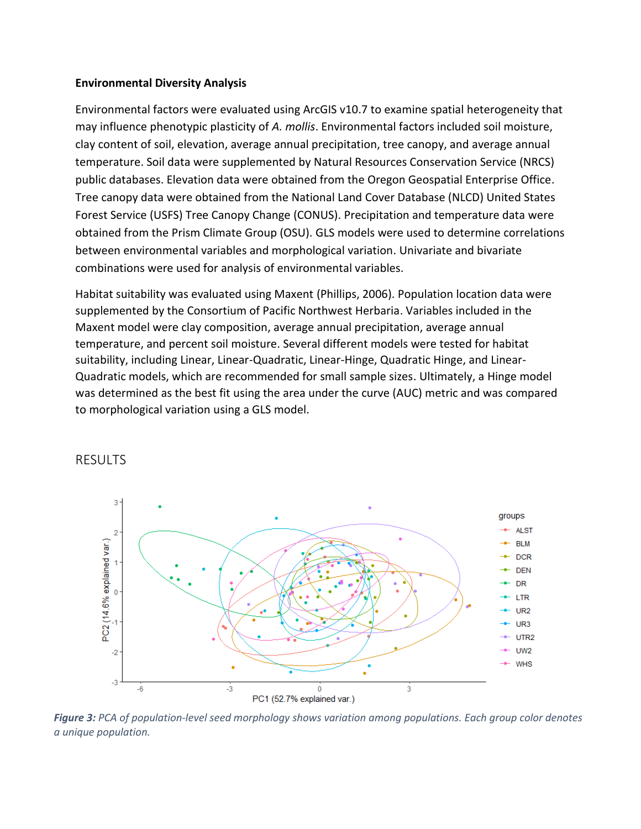#### **Environmental Diversity Analysis**

Environmental factors were evaluated using ArcGIS v10.7 to examine spatial heterogeneity that may influence phenotypic plasticity of *A. mollis*. Environmental factors included soil moisture, clay content of soil, elevation, average annual precipitation, tree canopy, and average annual temperature. Soil data were supplemented by Natural Resources Conservation Service (NRCS) public databases. Elevation data were obtained from the Oregon Geospatial Enterprise Office. Tree canopy data were obtained from the National Land Cover Database (NLCD) United States Forest Service (USFS) Tree Canopy Change (CONUS). Precipitation and temperature data were obtained from the Prism Climate Group (OSU). GLS models were used to determine correlations between environmental variables and morphological variation. Univariate and bivariate combinations were used for analysis of environmental variables.

Habitat suitability was evaluated using Maxent (Phillips, 2006). Population location data were supplemented by the Consortium of Pacific Northwest Herbaria. Variables included in the Maxent model were clay composition, average annual precipitation, average annual temperature, and percent soil moisture. Several different models were tested for habitat suitability, including Linear, Linear-Quadratic, Linear-Hinge, Quadratic Hinge, and Linear-Quadratic models, which are recommended for small sample sizes. Ultimately, a Hinge model was determined as the best fit using the area under the curve (AUC) metric and was compared to morphological variation using a GLS model.



#### RESULTS

*Figure 3: PCA of population-level seed morphology shows variation among populations. Each group color denotes a unique population.*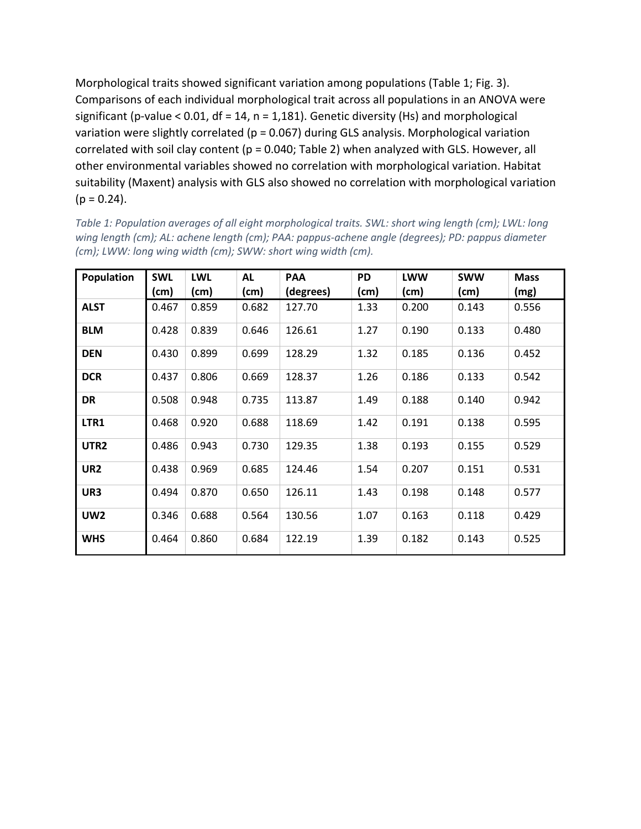Morphological traits showed significant variation among populations (Table 1; Fig. 3). Comparisons of each individual morphological trait across all populations in an ANOVA were significant (p-value < 0.01,  $df = 14$ ,  $n = 1,181$ ). Genetic diversity (Hs) and morphological variation were slightly correlated (p = 0.067) during GLS analysis. Morphological variation correlated with soil clay content ( $p = 0.040$ ; Table 2) when analyzed with GLS. However, all other environmental variables showed no correlation with morphological variation. Habitat suitability (Maxent) analysis with GLS also showed no correlation with morphological variation  $(p = 0.24)$ .

| Population       | <b>SWL</b> | <b>LWL</b> | <b>AL</b> | PAA       | <b>PD</b> | <b>LWW</b> | <b>SWW</b> | <b>Mass</b> |
|------------------|------------|------------|-----------|-----------|-----------|------------|------------|-------------|
|                  |            |            |           |           |           |            |            |             |
|                  | (cm)       | (cm)       | (cm)      | (degrees) | (cm)      | (cm)       | (cm)       | (mg)        |
| <b>ALST</b>      | 0.467      | 0.859      | 0.682     | 127.70    | 1.33      | 0.200      | 0.143      | 0.556       |
| <b>BLM</b>       | 0.428      | 0.839      | 0.646     | 126.61    | 1.27      | 0.190      | 0.133      | 0.480       |
| <b>DEN</b>       | 0.430      | 0.899      | 0.699     | 128.29    | 1.32      | 0.185      | 0.136      | 0.452       |
| <b>DCR</b>       | 0.437      | 0.806      | 0.669     | 128.37    | 1.26      | 0.186      | 0.133      | 0.542       |
| <b>DR</b>        | 0.508      | 0.948      | 0.735     | 113.87    | 1.49      | 0.188      | 0.140      | 0.942       |
| LTR1             | 0.468      | 0.920      | 0.688     | 118.69    | 1.42      | 0.191      | 0.138      | 0.595       |
| UTR <sub>2</sub> | 0.486      | 0.943      | 0.730     | 129.35    | 1.38      | 0.193      | 0.155      | 0.529       |
| UR <sub>2</sub>  | 0.438      | 0.969      | 0.685     | 124.46    | 1.54      | 0.207      | 0.151      | 0.531       |
| UR3              | 0.494      | 0.870      | 0.650     | 126.11    | 1.43      | 0.198      | 0.148      | 0.577       |
| <b>UW2</b>       | 0.346      | 0.688      | 0.564     | 130.56    | 1.07      | 0.163      | 0.118      | 0.429       |
| <b>WHS</b>       | 0.464      | 0.860      | 0.684     | 122.19    | 1.39      | 0.182      | 0.143      | 0.525       |

*Table 1: Population averages of all eight morphological traits. SWL: short wing length (cm); LWL: long wing length (cm); AL: achene length (cm); PAA: pappus-achene angle (degrees); PD: pappus diameter (cm); LWW: long wing width (cm); SWW: short wing width (cm).*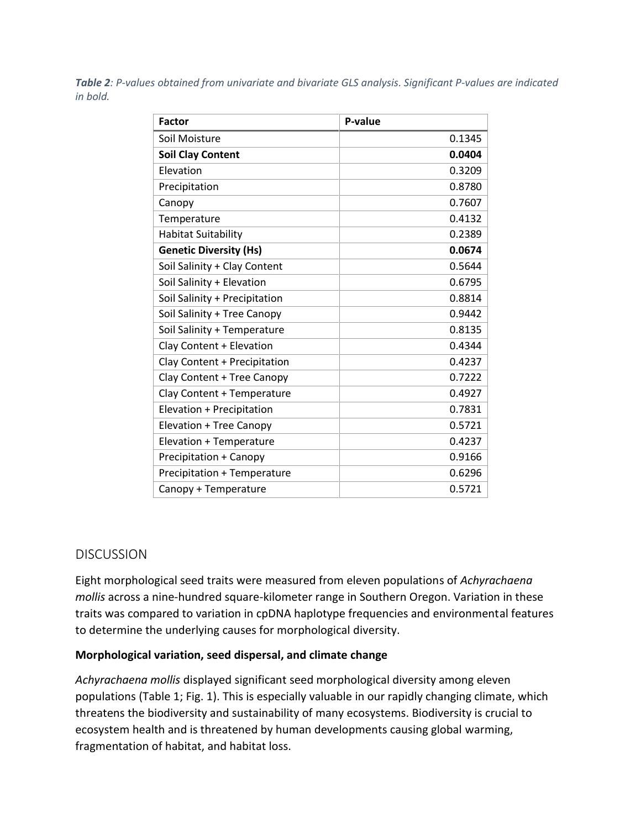*Table 2: P-values obtained from univariate and bivariate GLS analysis. Significant P-values are indicated in bold.*

| <b>Factor</b>                      | P-value |
|------------------------------------|---------|
| Soil Moisture                      | 0.1345  |
| <b>Soil Clay Content</b>           | 0.0404  |
| Elevation                          | 0.3209  |
| Precipitation                      | 0.8780  |
| Canopy                             | 0.7607  |
| Temperature                        | 0.4132  |
| <b>Habitat Suitability</b>         | 0.2389  |
| <b>Genetic Diversity (Hs)</b>      | 0.0674  |
| Soil Salinity + Clay Content       | 0.5644  |
| Soil Salinity + Elevation          | 0.6795  |
| Soil Salinity + Precipitation      | 0.8814  |
| Soil Salinity + Tree Canopy        | 0.9442  |
| Soil Salinity + Temperature        | 0.8135  |
| Clay Content + Elevation           | 0.4344  |
| Clay Content + Precipitation       | 0.4237  |
| Clay Content + Tree Canopy         | 0.7222  |
| Clay Content + Temperature         | 0.4927  |
| Elevation + Precipitation          | 0.7831  |
| Elevation + Tree Canopy            | 0.5721  |
| Elevation + Temperature            | 0.4237  |
| <b>Precipitation + Canopy</b>      | 0.9166  |
| <b>Precipitation + Temperature</b> | 0.6296  |
| Canopy + Temperature               | 0.5721  |

# DISCUSSION

Eight morphological seed traits were measured from eleven populations of *Achyrachaena mollis* across a nine-hundred square-kilometer range in Southern Oregon. Variation in these traits was compared to variation in cpDNA haplotype frequencies and environmental features to determine the underlying causes for morphological diversity.

#### **Morphological variation, seed dispersal, and climate change**

*Achyrachaena mollis* displayed significant seed morphological diversity among eleven populations (Table 1; Fig. 1). This is especially valuable in our rapidly changing climate, which threatens the biodiversity and sustainability of many ecosystems. Biodiversity is crucial to ecosystem health and is threatened by human developments causing global warming, fragmentation of habitat, and habitat loss.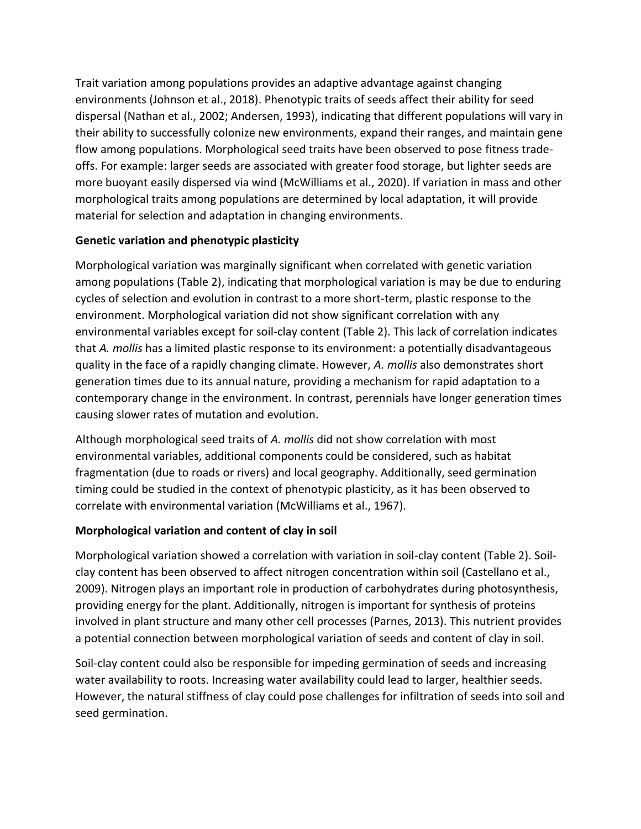Trait variation among populations provides an adaptive advantage against changing environments (Johnson et al., 2018). Phenotypic traits of seeds affect their ability for seed dispersal (Nathan et al., 2002; Andersen, 1993), indicating that different populations will vary in their ability to successfully colonize new environments, expand their ranges, and maintain gene flow among populations. Morphological seed traits have been observed to pose fitness tradeoffs. For example: larger seeds are associated with greater food storage, but lighter seeds are more buoyant easily dispersed via wind (McWilliams et al., 2020). If variation in mass and other morphological traits among populations are determined by local adaptation, it will provide material for selection and adaptation in changing environments.

### **Genetic variation and phenotypic plasticity**

Morphological variation was marginally significant when correlated with genetic variation among populations (Table 2), indicating that morphological variation is may be due to enduring cycles of selection and evolution in contrast to a more short-term, plastic response to the environment. Morphological variation did not show significant correlation with any environmental variables except for soil-clay content (Table 2). This lack of correlation indicates that *A. mollis* has a limited plastic response to its environment: a potentially disadvantageous quality in the face of a rapidly changing climate. However, *A. mollis* also demonstrates short generation times due to its annual nature, providing a mechanism for rapid adaptation to a contemporary change in the environment. In contrast, perennials have longer generation times causing slower rates of mutation and evolution.

Although morphological seed traits of *A. mollis* did not show correlation with most environmental variables, additional components could be considered, such as habitat fragmentation (due to roads or rivers) and local geography. Additionally, seed germination timing could be studied in the context of phenotypic plasticity, as it has been observed to correlate with environmental variation (McWilliams et al., 1967).

# **Morphological variation and content of clay in soil**

Morphological variation showed a correlation with variation in soil-clay content (Table 2). Soilclay content has been observed to affect nitrogen concentration within soil (Castellano et al., 2009). Nitrogen plays an important role in production of carbohydrates during photosynthesis, providing energy for the plant. Additionally, nitrogen is important for synthesis of proteins involved in plant structure and many other cell processes (Parnes, 2013). This nutrient provides a potential connection between morphological variation of seeds and content of clay in soil.

Soil-clay content could also be responsible for impeding germination of seeds and increasing water availability to roots. Increasing water availability could lead to larger, healthier seeds. However, the natural stiffness of clay could pose challenges for infiltration of seeds into soil and seed germination.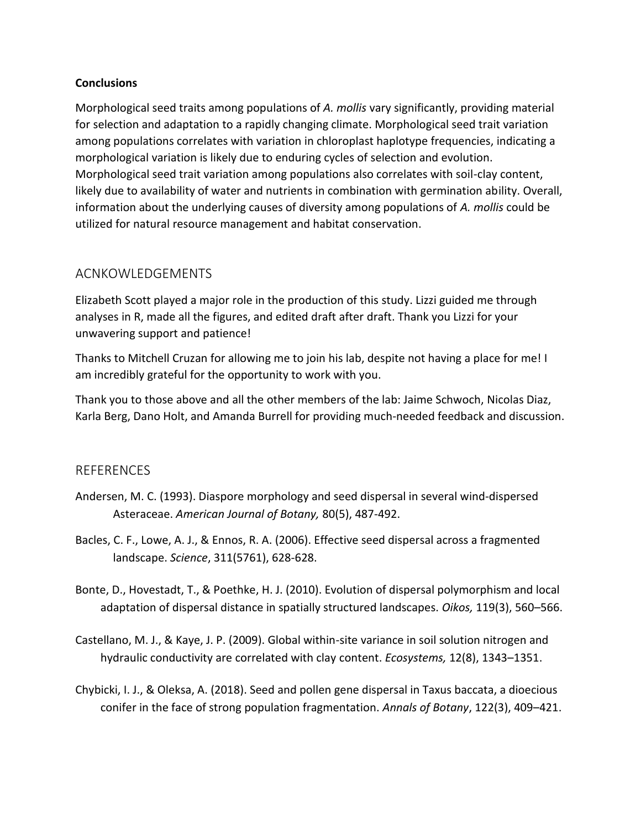#### **Conclusions**

Morphological seed traits among populations of *A. mollis* vary significantly, providing material for selection and adaptation to a rapidly changing climate. Morphological seed trait variation among populations correlates with variation in chloroplast haplotype frequencies, indicating a morphological variation is likely due to enduring cycles of selection and evolution. Morphological seed trait variation among populations also correlates with soil-clay content, likely due to availability of water and nutrients in combination with germination ability. Overall, information about the underlying causes of diversity among populations of *A. mollis* could be utilized for natural resource management and habitat conservation.

# ACNKOWLEDGEMENTS

Elizabeth Scott played a major role in the production of this study. Lizzi guided me through analyses in R, made all the figures, and edited draft after draft. Thank you Lizzi for your unwavering support and patience!

Thanks to Mitchell Cruzan for allowing me to join his lab, despite not having a place for me! I am incredibly grateful for the opportunity to work with you.

Thank you to those above and all the other members of the lab: Jaime Schwoch, Nicolas Diaz, Karla Berg, Dano Holt, and Amanda Burrell for providing much-needed feedback and discussion.

#### REFERENCES

- [Andersen, M. C. \(1993\). Diaspore morphology and seed dispersal in several wind‐dispersed](file:///F:/Class%20Documents/Cruzan%20Lab/%20https/www.jstor.org/stable/2445362)  Asteraceae. *[American Journal of Botany,](file:///F:/Class%20Documents/Cruzan%20Lab/%20https/www.jstor.org/stable/2445362)* 80(5), 487-492.
- Bacles, C. F., Lowe, A. J., & Ennos, R. A. (2006). Effective seed dispersal across a fragmented landscape. *Science*, 311(5761), 628-628.
- [Bonte, D., Hovestadt, T., & Poethke, H. J. \(2010\). Evolution of dispersal polymorphism and local](https://doi.org/10.1111/j.1600-0706.2009.17943.x)  [adaptation of dispersal distance in spatially structured landscapes.](https://doi.org/10.1111/j.1600-0706.2009.17943.x) *Oikos,* 119(3), 560–566.
- [Castellano, M. J., & Kaye, J. P. \(2009\). Global within-site variance in soil solution nitrogen and](https://doi.org/10.1007/s10021-009-9293-x)  [hydraulic conductivity are correlated with clay content.](https://doi.org/10.1007/s10021-009-9293-x) *Ecosystems,* 12(8), 1343–1351.
- [Chybicki, I. J., & Oleksa, A. \(2018\). Seed and pollen gene dispersal in Taxus baccata, a dioecious](https://doi.org/10.1093/aob/mcy081)  [conifer in the face of strong population fragmentation.](https://doi.org/10.1093/aob/mcy081) *Annals of Botany*, 122(3), 409–421.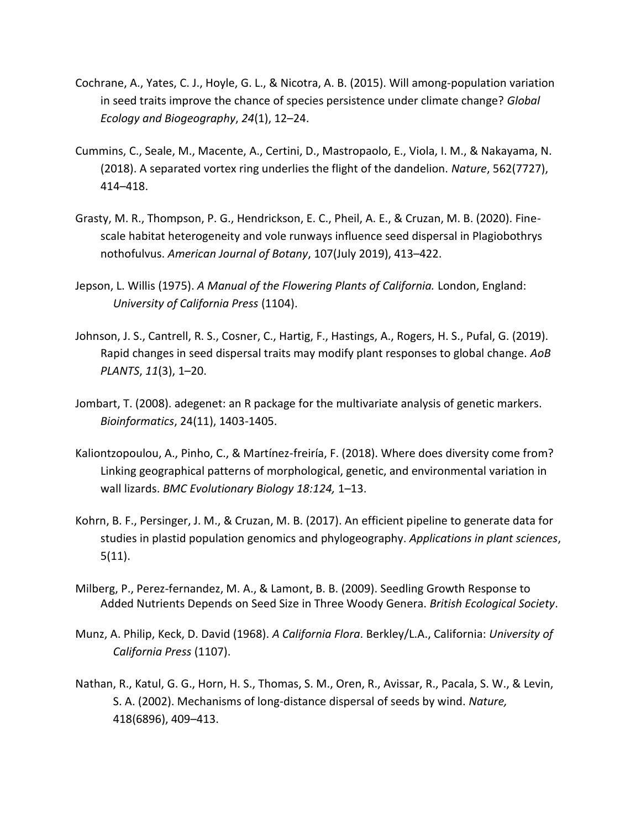- [Cochrane, A., Yates, C. J., Hoyle, G. L., & Nicotra, A. B. \(2015\). Will among-population variation](https://doi.org/10.1111/geb.12234)  [in seed traits improve the chance of species persistence under climate change?](https://doi.org/10.1111/geb.12234) *Global [Ecology and Biogeography](https://doi.org/10.1111/geb.12234)*, *24*(1), 12–24.
- [Cummins, C., Seale, M., Macente, A., Certini, D., Mastropaolo, E., Viola, I. M., & Nakayama, N.](https://doi.org/10.1038/s41586-018-0604-2)  [\(2018\). A separated vortex ring underlies the flight of the dandelion.](https://doi.org/10.1038/s41586-018-0604-2) *Nature*, 562(7727), 414–[418.](https://doi.org/10.1038/s41586-018-0604-2)
- [Grasty, M. R., Thompson, P. G., Hendrickson, E. C., Pheil, A. E., & Cruzan, M. B. \(2020\). Fine](https://doi.org/10.1002/ajb2.1433)[scale habitat heterogeneity and vole runways influence seed dispersal in Plagiobothrys](https://doi.org/10.1002/ajb2.1433)  nothofulvus. *[American Journal of Botany](https://doi.org/10.1002/ajb2.1433)*, 107(July 2019), 413–422.
- Jepson, L. Willis (1975). *A Manual of the Flowering Plants of California.* London, England: *University of California Press* (1104).
- [Johnson, J. S., Cantrell, R. S., Cosner, C., Hartig, F., Hastings, A., Rogers, H. S., Pufal, G. \(2019\).](https://doi.org/10.1093/aobpla/plz020)  [Rapid changes in seed dispersal traits may modify plant responses to global change.](https://doi.org/10.1093/aobpla/plz020) *AoB [PLANTS](https://doi.org/10.1093/aobpla/plz020)*, *11*(3), 1–20.
- Jombart, T. (2008). adegenet: an R package for the multivariate analysis of genetic markers. *Bioinformatics*, 24(11), 1403-1405.
- [Kaliontzopoulou, A., Pinho, C., & Martínez-freiría, F. \(2018\). Where does diversity come from?](https://doi.org/10.1186/s12862-018-1237-7)  [Linking geographical patterns of morphological, genetic, and environmental variation in](https://doi.org/10.1186/s12862-018-1237-7)  wall lizards. *[BMC Evolutionary Biology 18:124,](https://doi.org/10.1186/s12862-018-1237-7)* 1–13.
- Kohrn, B. F., Persinger, J. M., & Cruzan, M. B. (2017). An efficient pipeline to generate data for studies in plastid population genomics and phylogeography. *Applications in plant sciences*, 5(11).
- [Milberg, P., Perez-fernandez, M. A., & Lamont, B. B. \(2009\). Seedling Growth Response to](http://www.jstor.org/stable/2648426.%20Society,%2086(4),%20624–632.)  [Added Nutrients Depends on Seed Size in Three Woody Genera.](http://www.jstor.org/stable/2648426.%20Society,%2086(4),%20624–632.) *British Ecological Society*.
- Munz, A. Philip, Keck, D. David (1968). *A California Flora*. Berkley/L.A., California: *University of California Press* (1107).
- Nathan, R., Katul, [G. G., Horn, H. S., Thomas, S. M., Oren, R., Avissar, R., Pacala, S. W., & Levin,](https://doi.org/10.1038/nature00844)  [S. A. \(2002\). Mechanisms of long-distance dispersal of seeds by wind.](https://doi.org/10.1038/nature00844) *Nature,* [418\(6896\), 409](https://doi.org/10.1038/nature00844)–413.